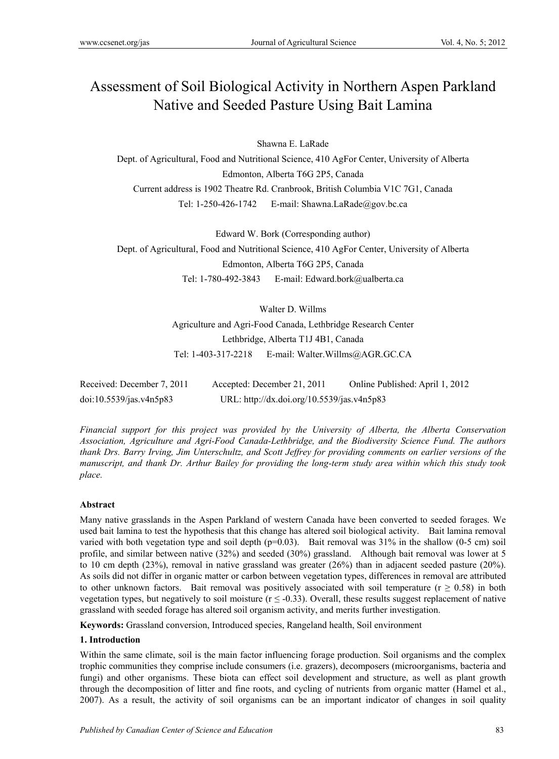# Assessment of Soil Biological Activity in Northern Aspen Parkland Native and Seeded Pasture Using Bait Lamina

Shawna E. LaRade

Dept. of Agricultural, Food and Nutritional Science, 410 AgFor Center, University of Alberta Edmonton, Alberta T6G 2P5, Canada Current address is 1902 Theatre Rd. Cranbrook, British Columbia V1C 7G1, Canada Tel: 1-250-426-1742 E-mail: Shawna.LaRade@gov.bc.ca

Edward W. Bork (Corresponding author) Dept. of Agricultural, Food and Nutritional Science, 410 AgFor Center, University of Alberta Edmonton, Alberta T6G 2P5, Canada Tel: 1-780-492-3843 E-mail: Edward.bork@ualberta.ca

> Walter D. Willms Agriculture and Agri-Food Canada, Lethbridge Research Center Lethbridge, Alberta T1J 4B1, Canada Tel: 1-403-317-2218 E-mail: Walter.Willms@AGR.GC.CA

| Received: December 7, 2011                      | Accepted: December 21, 2011                | Online Published: April 1, 2012 |
|-------------------------------------------------|--------------------------------------------|---------------------------------|
| $\frac{\text{doi:10.5539}}{\text{gas.v4n5p83}}$ | URL: http://dx.doi.org/10.5539/jas.v4n5p83 |                                 |

*Financial support for this project was provided by the University of Alberta, the Alberta Conservation Association, Agriculture and Agri-Food Canada-Lethbridge, and the Biodiversity Science Fund. The authors thank Drs. Barry Irving, Jim Unterschultz, and Scott Jeffrey for providing comments on earlier versions of the manuscript, and thank Dr. Arthur Bailey for providing the long-term study area within which this study took place.* 

# **Abstract**

Many native grasslands in the Aspen Parkland of western Canada have been converted to seeded forages. We used bait lamina to test the hypothesis that this change has altered soil biological activity. Bait lamina removal varied with both vegetation type and soil depth  $(p=0.03)$ . Bait removal was  $31\%$  in the shallow (0-5 cm) soil profile, and similar between native (32%) and seeded (30%) grassland. Although bait removal was lower at 5 to 10 cm depth (23%), removal in native grassland was greater (26%) than in adjacent seeded pasture (20%). As soils did not differ in organic matter or carbon between vegetation types, differences in removal are attributed to other unknown factors. Bait removal was positively associated with soil temperature ( $r \ge 0.58$ ) in both vegetation types, but negatively to soil moisture ( $r \le 0.33$ ). Overall, these results suggest replacement of native grassland with seeded forage has altered soil organism activity, and merits further investigation.

**Keywords:** Grassland conversion, Introduced species, Rangeland health, Soil environment

# **1. Introduction**

Within the same climate, soil is the main factor influencing forage production. Soil organisms and the complex trophic communities they comprise include consumers (i.e. grazers), decomposers (microorganisms, bacteria and fungi) and other organisms. These biota can effect soil development and structure, as well as plant growth through the decomposition of litter and fine roots, and cycling of nutrients from organic matter (Hamel et al., 2007). As a result, the activity of soil organisms can be an important indicator of changes in soil quality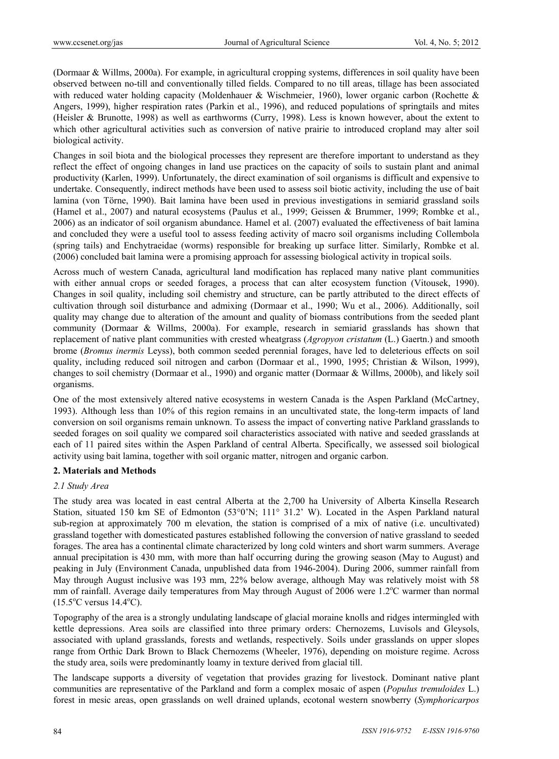(Dormaar & Willms, 2000a). For example, in agricultural cropping systems, differences in soil quality have been observed between no-till and conventionally tilled fields. Compared to no till areas, tillage has been associated with reduced water holding capacity (Moldenhauer & Wischmeier, 1960), lower organic carbon (Rochette & Angers, 1999), higher respiration rates (Parkin et al., 1996), and reduced populations of springtails and mites (Heisler & Brunotte, 1998) as well as earthworms (Curry, 1998). Less is known however, about the extent to which other agricultural activities such as conversion of native prairie to introduced cropland may alter soil biological activity.

Changes in soil biota and the biological processes they represent are therefore important to understand as they reflect the effect of ongoing changes in land use practices on the capacity of soils to sustain plant and animal productivity (Karlen, 1999). Unfortunately, the direct examination of soil organisms is difficult and expensive to undertake. Consequently, indirect methods have been used to assess soil biotic activity, including the use of bait lamina (von Törne, 1990). Bait lamina have been used in previous investigations in semiarid grassland soils (Hamel et al., 2007) and natural ecosystems (Paulus et al., 1999; Geissen & Brummer, 1999; Rombke et al., 2006) as an indicator of soil organism abundance. Hamel et al. (2007) evaluated the effectiveness of bait lamina and concluded they were a useful tool to assess feeding activity of macro soil organisms including Collembola (spring tails) and Enchytraeidae (worms) responsible for breaking up surface litter. Similarly, Rombke et al. (2006) concluded bait lamina were a promising approach for assessing biological activity in tropical soils.

Across much of western Canada, agricultural land modification has replaced many native plant communities with either annual crops or seeded forages, a process that can alter ecosystem function (Vitousek, 1990). Changes in soil quality, including soil chemistry and structure, can be partly attributed to the direct effects of cultivation through soil disturbance and admixing (Dormaar et al., 1990; Wu et al., 2006). Additionally, soil quality may change due to alteration of the amount and quality of biomass contributions from the seeded plant community (Dormaar & Willms, 2000a). For example, research in semiarid grasslands has shown that replacement of native plant communities with crested wheatgrass (*Agropyon cristatum* (L.) Gaertn.) and smooth brome (*Bromus inermis* Leyss), both common seeded perennial forages, have led to deleterious effects on soil quality, including reduced soil nitrogen and carbon (Dormaar et al., 1990, 1995; Christian & Wilson, 1999), changes to soil chemistry (Dormaar et al., 1990) and organic matter (Dormaar & Willms, 2000b), and likely soil organisms.

One of the most extensively altered native ecosystems in western Canada is the Aspen Parkland (McCartney, 1993). Although less than 10% of this region remains in an uncultivated state, the long-term impacts of land conversion on soil organisms remain unknown. To assess the impact of converting native Parkland grasslands to seeded forages on soil quality we compared soil characteristics associated with native and seeded grasslands at each of 11 paired sites within the Aspen Parkland of central Alberta. Specifically, we assessed soil biological activity using bait lamina, together with soil organic matter, nitrogen and organic carbon.

#### **2. Materials and Methods**

#### *2.1 Study Area*

The study area was located in east central Alberta at the 2,700 ha University of Alberta Kinsella Research Station, situated 150 km SE of Edmonton (53°0'N; 111° 31.2' W). Located in the Aspen Parkland natural sub-region at approximately 700 m elevation, the station is comprised of a mix of native (i.e. uncultivated) grassland together with domesticated pastures established following the conversion of native grassland to seeded forages. The area has a continental climate characterized by long cold winters and short warm summers. Average annual precipitation is 430 mm, with more than half occurring during the growing season (May to August) and peaking in July (Environment Canada, unpublished data from 1946-2004). During 2006, summer rainfall from May through August inclusive was 193 mm, 22% below average, although May was relatively moist with 58 mm of rainfall. Average daily temperatures from May through August of 2006 were 1.2°C warmer than normal  $(15.5^{\circ}$ C versus  $14.4^{\circ}$ C).

Topography of the area is a strongly undulating landscape of glacial moraine knolls and ridges intermingled with kettle depressions. Area soils are classified into three primary orders: Chernozems, Luvisols and Gleysols, associated with upland grasslands, forests and wetlands, respectively. Soils under grasslands on upper slopes range from Orthic Dark Brown to Black Chernozems (Wheeler, 1976), depending on moisture regime. Across the study area, soils were predominantly loamy in texture derived from glacial till.

The landscape supports a diversity of vegetation that provides grazing for livestock. Dominant native plant communities are representative of the Parkland and form a complex mosaic of aspen (*Populus tremuloides* L.) forest in mesic areas, open grasslands on well drained uplands, ecotonal western snowberry (*Symphoricarpos*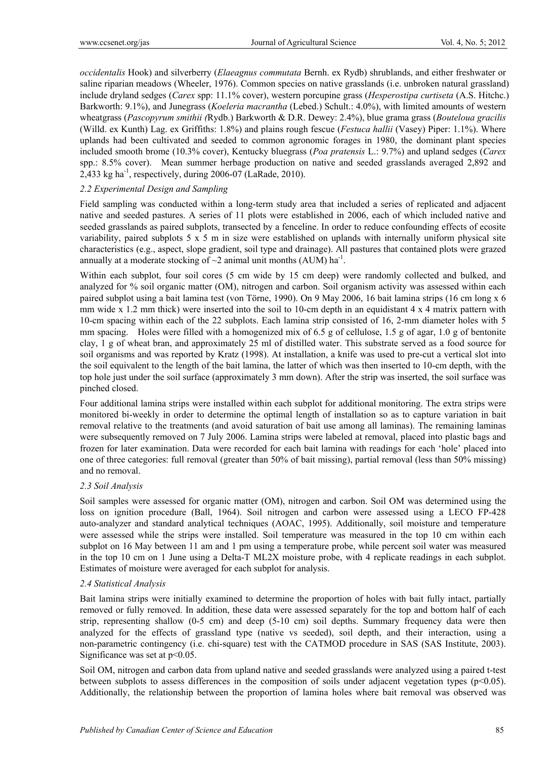*occidentalis* Hook) and silverberry (*Elaeagnus commutata* Bernh. ex Rydb) shrublands, and either freshwater or saline riparian meadows (Wheeler, 1976). Common species on native grasslands (i.e. unbroken natural grassland) include dryland sedges (*Carex* spp: 11.1% cover), western porcupine grass (*Hesperostipa curtiseta* (A.S. Hitchc.) Barkworth: 9.1%), and Junegrass (*Koeleria macrantha* (Lebed.) Schult.: 4.0%), with limited amounts of western wheatgrass (*Pascopyrum smithii (*Rydb.) Barkworth & D.R. Dewey: 2.4%), blue grama grass (*Bouteloua gracilis* (Willd. ex Kunth) Lag. ex Griffiths: 1.8%) and plains rough fescue (*Festuca hallii* (Vasey) Piper: 1.1%). Where uplands had been cultivated and seeded to common agronomic forages in 1980, the dominant plant species included smooth brome (10.3% cover), Kentucky bluegrass (*Poa pratensis* L.: 9.7%) and upland sedges (*Carex* spp.: 8.5% cover). Mean summer herbage production on native and seeded grasslands averaged 2,892 and  $2,433$  kg ha<sup>-1</sup>, respectively, during 2006-07 (LaRade, 2010).

## *2.2 Experimental Design and Sampling*

Field sampling was conducted within a long-term study area that included a series of replicated and adjacent native and seeded pastures. A series of 11 plots were established in 2006, each of which included native and seeded grasslands as paired subplots, transected by a fenceline. In order to reduce confounding effects of ecosite variability, paired subplots 5 x 5 m in size were established on uplands with internally uniform physical site characteristics (e.g., aspect, slope gradient, soil type and drainage). All pastures that contained plots were grazed annually at a moderate stocking of  $\sim$ 2 animal unit months (AUM) ha<sup>-1</sup>.

Within each subplot, four soil cores (5 cm wide by 15 cm deep) were randomly collected and bulked, and analyzed for % soil organic matter (OM), nitrogen and carbon. Soil organism activity was assessed within each paired subplot using a bait lamina test (von Törne, 1990). On 9 May 2006, 16 bait lamina strips (16 cm long x 6 mm wide x 1.2 mm thick) were inserted into the soil to 10-cm depth in an equidistant  $4 \times 4$  matrix pattern with 10-cm spacing within each of the 22 subplots. Each lamina strip consisted of 16, 2-mm diameter holes with 5 mm spacing. Holes were filled with a homogenized mix of 6.5 g of cellulose, 1.5 g of agar, 1.0 g of bentonite clay, 1 g of wheat bran, and approximately 25 ml of distilled water. This substrate served as a food source for soil organisms and was reported by Kratz (1998). At installation, a knife was used to pre-cut a vertical slot into the soil equivalent to the length of the bait lamina, the latter of which was then inserted to 10-cm depth, with the top hole just under the soil surface (approximately 3 mm down). After the strip was inserted, the soil surface was pinched closed.

Four additional lamina strips were installed within each subplot for additional monitoring. The extra strips were monitored bi-weekly in order to determine the optimal length of installation so as to capture variation in bait removal relative to the treatments (and avoid saturation of bait use among all laminas). The remaining laminas were subsequently removed on 7 July 2006. Lamina strips were labeled at removal, placed into plastic bags and frozen for later examination. Data were recorded for each bait lamina with readings for each 'hole' placed into one of three categories: full removal (greater than 50% of bait missing), partial removal (less than 50% missing) and no removal.

### *2.3 Soil Analysis*

Soil samples were assessed for organic matter (OM), nitrogen and carbon. Soil OM was determined using the loss on ignition procedure (Ball, 1964). Soil nitrogen and carbon were assessed using a LECO FP-428 auto-analyzer and standard analytical techniques (AOAC, 1995). Additionally, soil moisture and temperature were assessed while the strips were installed. Soil temperature was measured in the top 10 cm within each subplot on 16 May between 11 am and 1 pm using a temperature probe, while percent soil water was measured in the top 10 cm on 1 June using a Delta-T ML2X moisture probe, with 4 replicate readings in each subplot. Estimates of moisture were averaged for each subplot for analysis.

### *2.4 Statistical Analysis*

Bait lamina strips were initially examined to determine the proportion of holes with bait fully intact, partially removed or fully removed. In addition, these data were assessed separately for the top and bottom half of each strip, representing shallow (0-5 cm) and deep (5-10 cm) soil depths. Summary frequency data were then analyzed for the effects of grassland type (native vs seeded), soil depth, and their interaction, using a non-parametric contingency (i.e. chi-square) test with the CATMOD procedure in SAS (SAS Institute, 2003). Significance was set at  $p<0.05$ .

Soil OM, nitrogen and carbon data from upland native and seeded grasslands were analyzed using a paired t-test between subplots to assess differences in the composition of soils under adjacent vegetation types (p<0.05). Additionally, the relationship between the proportion of lamina holes where bait removal was observed was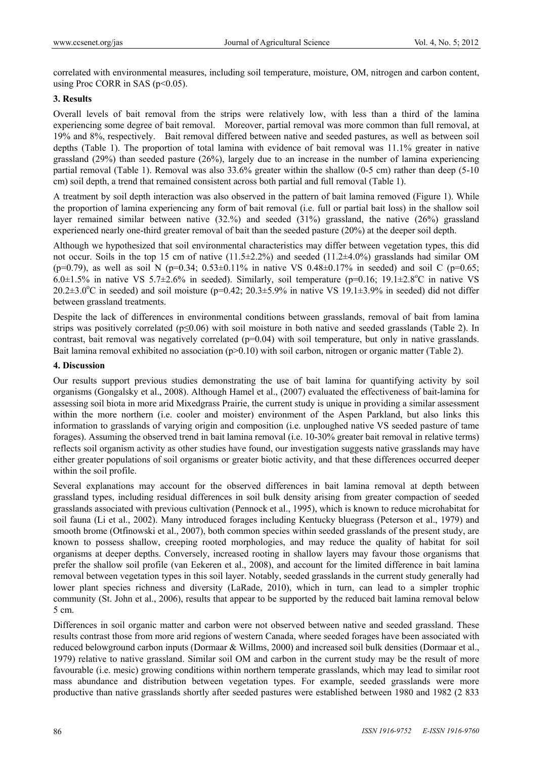correlated with environmental measures, including soil temperature, moisture, OM, nitrogen and carbon content, using Proc CORR in SAS ( $p<0.05$ ).

# **3. Results**

Overall levels of bait removal from the strips were relatively low, with less than a third of the lamina experiencing some degree of bait removal. Moreover, partial removal was more common than full removal, at 19% and 8%, respectively. Bait removal differed between native and seeded pastures, as well as between soil depths (Table 1). The proportion of total lamina with evidence of bait removal was 11.1% greater in native grassland (29%) than seeded pasture (26%), largely due to an increase in the number of lamina experiencing partial removal (Table 1). Removal was also 33.6% greater within the shallow (0-5 cm) rather than deep (5-10 cm) soil depth, a trend that remained consistent across both partial and full removal (Table 1).

A treatment by soil depth interaction was also observed in the pattern of bait lamina removed (Figure 1). While the proportion of lamina experiencing any form of bait removal (i.e. full or partial bait loss) in the shallow soil layer remained similar between native (32.%) and seeded (31%) grassland, the native (26%) grassland experienced nearly one-third greater removal of bait than the seeded pasture (20%) at the deeper soil depth.

Although we hypothesized that soil environmental characteristics may differ between vegetation types, this did not occur. Soils in the top 15 cm of native  $(11.5\pm 2.2\%)$  and seeded  $(11.2\pm 4.0\%)$  grasslands had similar OM  $(p=0.79)$ , as well as soil N  $(p=0.34; 0.53\pm0.11\%$  in native VS  $0.48\pm0.17\%$  in seeded) and soil C  $(p=0.65;$  $6.0\pm1.5\%$  in native VS  $5.7\pm2.6\%$  in seeded). Similarly, soil temperature (p=0.16; 19.1 $\pm2.8\degree$ C in native VS  $20.2\pm3.0^{\circ}\text{C}$  in seeded) and soil moisture (p=0.42;  $20.3\pm5.9\%$  in native VS 19.1 $\pm3.9\%$  in seeded) did not differ between grassland treatments.

Despite the lack of differences in environmental conditions between grasslands, removal of bait from lamina strips was positively correlated ( $p \le 0.06$ ) with soil moisture in both native and seeded grasslands (Table 2). In contrast, bait removal was negatively correlated  $(p=0.04)$  with soil temperature, but only in native grasslands. Bait lamina removal exhibited no association (p>0.10) with soil carbon, nitrogen or organic matter (Table 2).

## **4. Discussion**

Our results support previous studies demonstrating the use of bait lamina for quantifying activity by soil organisms (Gongalsky et al., 2008). Although Hamel et al., (2007) evaluated the effectiveness of bait-lamina for assessing soil biota in more arid Mixedgrass Prairie, the current study is unique in providing a similar assessment within the more northern (i.e. cooler and moister) environment of the Aspen Parkland, but also links this information to grasslands of varying origin and composition (i.e. unploughed native VS seeded pasture of tame forages). Assuming the observed trend in bait lamina removal (i.e. 10-30% greater bait removal in relative terms) reflects soil organism activity as other studies have found, our investigation suggests native grasslands may have either greater populations of soil organisms or greater biotic activity, and that these differences occurred deeper within the soil profile.

Several explanations may account for the observed differences in bait lamina removal at depth between grassland types, including residual differences in soil bulk density arising from greater compaction of seeded grasslands associated with previous cultivation (Pennock et al., 1995), which is known to reduce microhabitat for soil fauna (Li et al., 2002). Many introduced forages including Kentucky bluegrass (Peterson et al., 1979) and smooth brome (Otfinowski et al., 2007), both common species within seeded grasslands of the present study, are known to possess shallow, creeping rooted morphologies, and may reduce the quality of habitat for soil organisms at deeper depths. Conversely, increased rooting in shallow layers may favour those organisms that prefer the shallow soil profile (van Eekeren et al., 2008), and account for the limited difference in bait lamina removal between vegetation types in this soil layer. Notably, seeded grasslands in the current study generally had lower plant species richness and diversity (LaRade, 2010), which in turn, can lead to a simpler trophic community (St. John et al., 2006), results that appear to be supported by the reduced bait lamina removal below 5 cm.

Differences in soil organic matter and carbon were not observed between native and seeded grassland. These results contrast those from more arid regions of western Canada, where seeded forages have been associated with reduced belowground carbon inputs (Dormaar & Willms, 2000) and increased soil bulk densities (Dormaar et al., 1979) relative to native grassland. Similar soil OM and carbon in the current study may be the result of more favourable (i.e. mesic) growing conditions within northern temperate grasslands, which may lead to similar root mass abundance and distribution between vegetation types. For example, seeded grasslands were more productive than native grasslands shortly after seeded pastures were established between 1980 and 1982 (2 833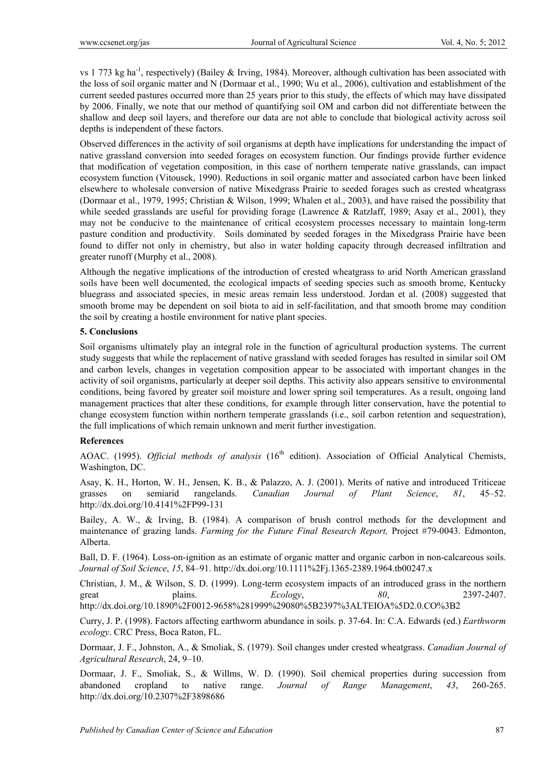vs 1 773 kg ha<sup>-1</sup>, respectively) (Bailey & Irving, 1984). Moreover, although cultivation has been associated with the loss of soil organic matter and N (Dormaar et al., 1990; Wu et al., 2006), cultivation and establishment of the current seeded pastures occurred more than 25 years prior to this study, the effects of which may have dissipated by 2006. Finally, we note that our method of quantifying soil OM and carbon did not differentiate between the shallow and deep soil layers, and therefore our data are not able to conclude that biological activity across soil depths is independent of these factors.

Observed differences in the activity of soil organisms at depth have implications for understanding the impact of native grassland conversion into seeded forages on ecosystem function. Our findings provide further evidence that modification of vegetation composition, in this case of northern temperate native grasslands, can impact ecosystem function (Vitousek, 1990). Reductions in soil organic matter and associated carbon have been linked elsewhere to wholesale conversion of native Mixedgrass Prairie to seeded forages such as crested wheatgrass (Dormaar et al., 1979, 1995; Christian & Wilson, 1999; Whalen et al., 2003), and have raised the possibility that while seeded grasslands are useful for providing forage (Lawrence & Ratzlaff, 1989; Asay et al., 2001), they may not be conducive to the maintenance of critical ecosystem processes necessary to maintain long-term pasture condition and productivity. Soils dominated by seeded forages in the Mixedgrass Prairie have been found to differ not only in chemistry, but also in water holding capacity through decreased infiltration and greater runoff (Murphy et al., 2008).

Although the negative implications of the introduction of crested wheatgrass to arid North American grassland soils have been well documented, the ecological impacts of seeding species such as smooth brome, Kentucky bluegrass and associated species, in mesic areas remain less understood. Jordan et al. (2008) suggested that smooth brome may be dependent on soil biota to aid in self-facilitation, and that smooth brome may condition the soil by creating a hostile environment for native plant species.

### **5. Conclusions**

Soil organisms ultimately play an integral role in the function of agricultural production systems. The current study suggests that while the replacement of native grassland with seeded forages has resulted in similar soil OM and carbon levels, changes in vegetation composition appear to be associated with important changes in the activity of soil organisms, particularly at deeper soil depths. This activity also appears sensitive to environmental conditions, being favored by greater soil moisture and lower spring soil temperatures. As a result, ongoing land management practices that alter these conditions, for example through litter conservation, have the potential to change ecosystem function within northern temperate grasslands (i.e., soil carbon retention and sequestration), the full implications of which remain unknown and merit further investigation.

# **References**

AOAC. (1995). *Official methods of analysis* (16<sup>th</sup> edition). Association of Official Analytical Chemists, Washington, DC.

Asay, K. H., Horton, W. H., Jensen, K. B., & Palazzo, A. J. (2001). Merits of native and introduced Triticeae grasses on semiarid rangelands. *Canadian Journal of Plant Science*, *81*, 45–52. http://dx.doi.org/10.4141%2FP99-131

Bailey, A. W., & Irving, B. (1984). A comparison of brush control methods for the development and maintenance of grazing lands. *Farming for the Future Final Research Report,* Project #79-0043. Edmonton, Alberta.

Ball, D. F. (1964). Loss-on-ignition as an estimate of organic matter and organic carbon in non-calcareous soils. *Journal of Soil Science*, *15*, 84–91. http://dx.doi.org/10.1111%2Fj.1365-2389.1964.tb00247.x

Christian, J. M., & Wilson, S. D. (1999). Long-term ecosystem impacts of an introduced grass in the northern great plains. *Ecology*, *80*, 2397-2407. http://dx.doi.org/10.1890%2F0012-9658%281999%29080%5B2397%3ALTEIOA%5D2.0.CO%3B2

Curry, J. P. (1998). Factors affecting earthworm abundance in soils. p. 37-64. In: C.A. Edwards (ed.) *Earthworm ecology*. CRC Press, Boca Raton, FL.

Dormaar, J. F., Johnston, A., & Smoliak, S. (1979). Soil changes under crested wheatgrass. *Canadian Journal of Agricultural Research*, 24, 9–10.

Dormaar, J. F., Smoliak, S., & Willms, W. D. (1990). Soil chemical properties during succession from abandoned cropland to native range. *Journal of Range Management*, *43*, 260-265. http://dx.doi.org/10.2307%2F3898686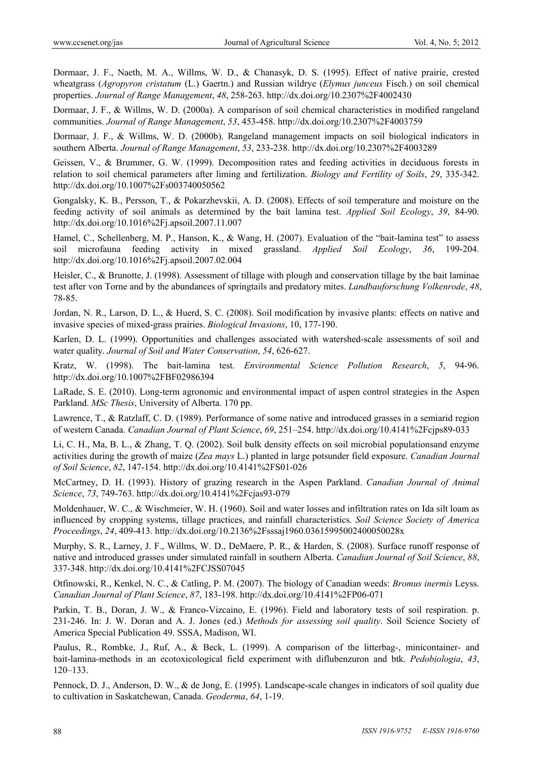Dormaar, J. F., Naeth, M. A., Willms, W. D., & Chanasyk, D. S. (1995). Effect of native prairie, crested wheatgrass (*Agropyron cristatum* (L.) Gaertn.) and Russian wildrye (*Elymus junceus* Fisch.) on soil chemical properties. *Journal of Range Management*, *48*, 258-263. http://dx.doi.org/10.2307%2F4002430

Dormaar, J. F., & Willms, W. D. (2000a). A comparison of soil chemical characteristics in modified rangeland communities. *Journal of Range Management*, *53*, 453-458. http://dx.doi.org/10.2307%2F4003759

Dormaar, J. F., & Willms, W. D. (2000b). Rangeland management impacts on soil biological indicators in southern Alberta. *Journal of Range Management*, *53*, 233-238. http://dx.doi.org/10.2307%2F4003289

Geissen, V., & Brummer, G. W. (1999). Decomposition rates and feeding activities in deciduous forests in relation to soil chemical parameters after liming and fertilization. *Biology and Fertility of Soils*, *29*, 335-342. http://dx.doi.org/10.1007%2Fs003740050562

Gongalsky, K. B., Persson, T., & Pokarzhevskii, A. D. (2008). Effects of soil temperature and moisture on the feeding activity of soil animals as determined by the bait lamina test. *Applied Soil Ecology*, *39*, 84-90. http://dx.doi.org/10.1016%2Fj.apsoil.2007.11.007

Hamel, C., Schellenberg, M. P., Hanson, K., & Wang, H. (2007). Evaluation of the "bait-lamina test" to assess soil microfauna feeding activity in mixed grassland. *Applied Soil Ecology*, *36*, 199-204. http://dx.doi.org/10.1016%2Fj.apsoil.2007.02.004

Heisler, C., & Brunotte, J. (1998). Assessment of tillage with plough and conservation tillage by the bait laminae test after von Torne and by the abundances of springtails and predatory mites. *Landbauforschung Volkenrode*, *48*, 78-85.

Jordan, N. R., Larson, D. L., & Huerd, S. C. (2008). Soil modification by invasive plants: effects on native and invasive species of mixed-grass prairies. *Biological Invasions*, 10, 177-190.

Karlen, D. L. (1999). Opportunities and challenges associated with watershed-scale assessments of soil and water quality. *Journal of Soil and Water Conservation*, *54*, 626-627.

Kratz, W. (1998). The bait-lamina test. *Environmental Science Pollution Research*, *5*, 94-96. http://dx.doi.org/10.1007%2FBF02986394

LaRade, S. E. (2010). Long-term agronomic and environmental impact of aspen control strategies in the Aspen Parkland. *MSc Thesis*, University of Alberta. 170 pp.

Lawrence, T., & Ratzlaff, C. D. (1989). Performance of some native and introduced grasses in a semiarid region of western Canada. *Canadian Journal of Plant Science*, *69*, 251–254. http://dx.doi.org/10.4141%2Fcjps89-033

Li, C. H., Ma, B. L., & Zhang, T. Q. (2002). Soil bulk density effects on soil microbial populationsand enzyme activities during the growth of maize (*Zea mays* L.) planted in large potsunder field exposure. *Canadian Journal of Soil Science*, *82*, 147-154. http://dx.doi.org/10.4141%2FS01-026

McCartney, D. H. (1993). History of grazing research in the Aspen Parkland. *Canadian Journal of Animal Science*, *73*, 749-763. http://dx.doi.org/10.4141%2Fcjas93-079

Moldenhauer, W. C., & Wischmeier, W. H. (1960). Soil and water losses and infiltration rates on Ida silt loam as influenced by cropping systems, tillage practices, and rainfall characteristics. *Soil Science Society of America Proceedings*, *24*, 409-413. http://dx.doi.org/10.2136%2Fsssaj1960.03615995002400050028x

Murphy, S. R., Larney, J. F., Willms, W. D., DeMaere, P. R., & Harden, S. (2008). Surface runoff response of native and introduced grasses under simulated rainfall in southern Alberta. *Canadian Journal of Soil Science*, *88*, 337-348. http://dx.doi.org/10.4141%2FCJSS07045

Otfinowski, R., Kenkel, N. C., & Catling, P. M. (2007). The biology of Canadian weeds: *Bromus inermis* Leyss. *Canadian Journal of Plant Science*, *87*, 183-198. http://dx.doi.org/10.4141%2FP06-071

Parkin, T. B., Doran, J. W., & Franco-Vizcaino, E. (1996). Field and laboratory tests of soil respiration. p. 231-246. In: J. W. Doran and A. J. Jones (ed.) *Methods for assessing soil quality*. Soil Science Society of America Special Publication 49. SSSA, Madison, WI.

Paulus, R., Rombke, J., Ruf, A., & Beck, L. (1999). A comparison of the litterbag-, minicontainer- and bait-lamina-methods in an ecotoxicological field experiment with diflubenzuron and btk. *Pedobiologia*, *43*, 120–133.

Pennock, D. J., Anderson, D. W., & de Jong, E. (1995). Landscape-scale changes in indicators of soil quality due to cultivation in Saskatchewan, Canada. *Geoderma*, *64*, 1-19.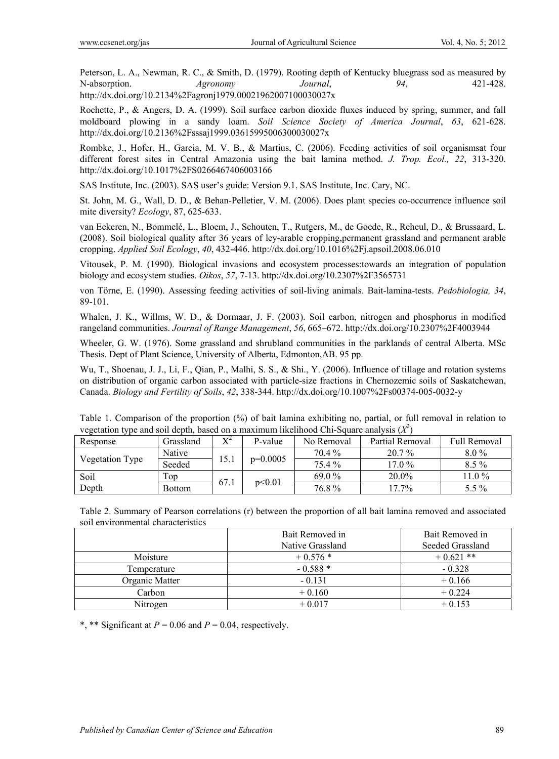Peterson, L. A., Newman, R. C., & Smith, D. (1979). Rooting depth of Kentucky bluegrass sod as measured by N-absorption. *Agronomy Journal*, *94*, 421-428. http://dx.doi.org/10.2134%2Fagronj1979.00021962007100030027x

Rochette, P., & Angers, D. A. (1999). Soil surface carbon dioxide fluxes induced by spring, summer, and fall moldboard plowing in a sandy loam. *Soil Science Society of America Journal*, *63*, 621-628. http://dx.doi.org/10.2136%2Fsssaj1999.03615995006300030027x

Rombke, J., Hofer, H., Garcia, M. V. B., & Martius, C. (2006). Feeding activities of soil organismsat four different forest sites in Central Amazonia using the bait lamina method. *J. Trop. Ecol., 22*, 313-320. http://dx.doi.org/10.1017%2FS0266467406003166

SAS Institute, Inc. (2003). SAS user's guide: Version 9.1. SAS Institute, Inc. Cary, NC.

St. John, M. G., Wall, D. D., & Behan-Pelletier, V. M. (2006). Does plant species co-occurrence influence soil mite diversity? *Ecology*, 87, 625-633.

van Eekeren, N., Bommelé, L., Bloem, J., Schouten, T., Rutgers, M., de Goede, R., Reheul, D., & Brussaard, L. (2008). Soil biological quality after 36 years of ley-arable cropping,permanent grassland and permanent arable cropping. *Applied Soil Ecology*, *40*, 432-446. http://dx.doi.org/10.1016%2Fj.apsoil.2008.06.010

Vitousek, P. M. (1990). Biological invasions and ecosystem processes:towards an integration of population biology and ecosystem studies. *Oikos*, *57*, 7-13. http://dx.doi.org/10.2307%2F3565731

von Törne, E. (1990). Assessing feeding activities of soil-living animals. Bait-lamina-tests. *Pedobiologia, 34*, 89-101.

Whalen, J. K., Willms, W. D., & Dormaar, J. F. (2003). Soil carbon, nitrogen and phosphorus in modified rangeland communities. *Journal of Range Management*, *56*, 665–672. http://dx.doi.org/10.2307%2F4003944

Wheeler, G. W. (1976). Some grassland and shrubland communities in the parklands of central Alberta. MSc Thesis. Dept of Plant Science, University of Alberta, Edmonton,AB. 95 pp.

Wu, T., Shoenau, J. J., Li, F., Qian, P., Malhi, S. S., & Shi., Y. (2006). Influence of tillage and rotation systems on distribution of organic carbon associated with particle-size fractions in Chernozemic soils of Saskatchewan, Canada. *Biology and Fertility of Soils*, *42*, 338-344. http://dx.doi.org/10.1007%2Fs00374-005-0032-y

| Table 1. Comparison of the proportion (%) of bait lamina exhibiting no, partial, or full removal in relation to |  |
|-----------------------------------------------------------------------------------------------------------------|--|
| vegetation type and soil depth, based on a maximum likelihood Chi-Square analysis $(X^2)$                       |  |

| Response        | Grassland     | $X^2$ | P-value    | No Removal | Partial Removal | <b>Full Removal</b> |
|-----------------|---------------|-------|------------|------------|-----------------|---------------------|
| Vegetation Type | Native        |       | $p=0.0005$ | 70.4 %     | $20.7\%$        | $8.0\%$             |
|                 | Seeded        | 15.1  |            | 75.4 %     | $17.0\%$        | $8.5\%$             |
| Soil            | Top           | 67.1  | p<0.01     | $69.0\%$   | $20.0\%$        | $11.0\%$            |
| Depth           | <b>Bottom</b> |       |            | 76.8%      | $17.7\%$        | $5.5\%$             |

Table 2. Summary of Pearson correlations (r) between the proportion of all bait lamina removed and associated soil environmental characteristics

|                | Bait Removed in  | Bait Removed in  |  |
|----------------|------------------|------------------|--|
|                | Native Grassland | Seeded Grassland |  |
| Moisture       | $+0.576*$        | $+0.621$ **      |  |
| Temperature    | $-0.588*$        | $-0.328$         |  |
| Organic Matter | $-0.131$         | $+0.166$         |  |
| Carbon         | $+0.160$         | $+0.224$         |  |
| Nitrogen       | $+0.017$         | $+0.153$         |  |

\*, \*\* Significant at  $P = 0.06$  and  $P = 0.04$ , respectively.